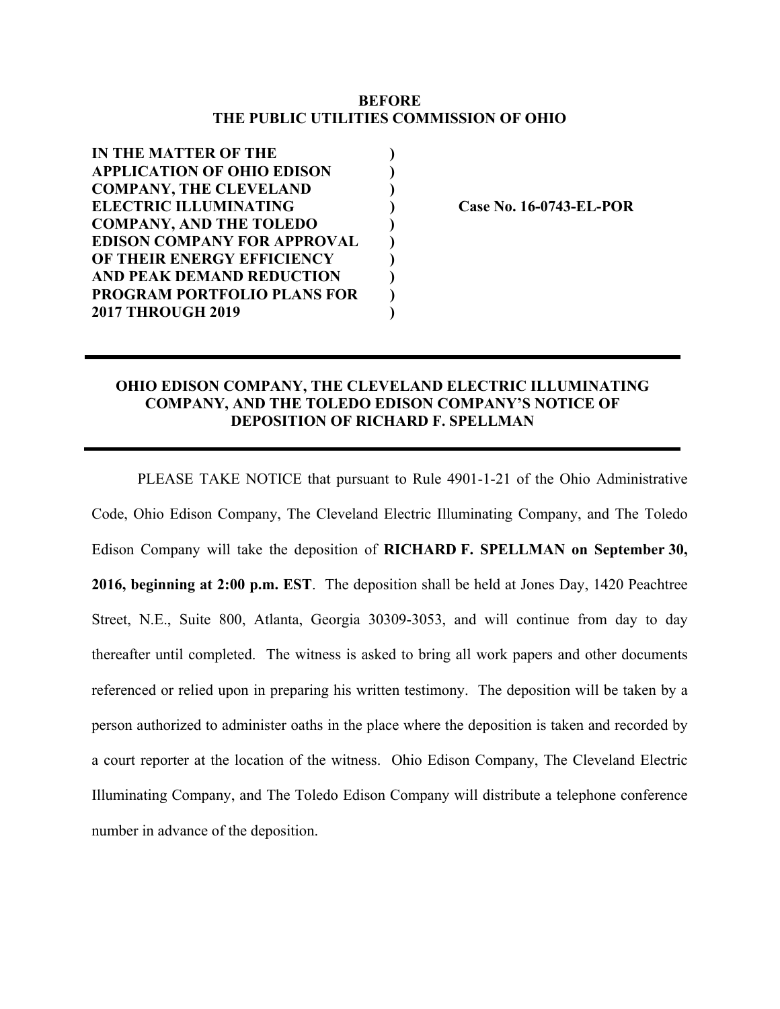## **BEFORE THE PUBLIC UTILITIES COMMISSION OF OHIO**

| <b>IN THE MATTER OF THE</b>        |  |
|------------------------------------|--|
| <b>APPLICATION OF OHIO EDISON</b>  |  |
| <b>COMPANY, THE CLEVELAND</b>      |  |
| <b>ELECTRIC ILLUMINATING</b>       |  |
| <b>COMPANY, AND THE TOLEDO</b>     |  |
| <b>EDISON COMPANY FOR APPROVAL</b> |  |
| OF THEIR ENERGY EFFICIENCY         |  |
| <b>AND PEAK DEMAND REDUCTION</b>   |  |
| PROGRAM PORTFOLIO PLANS FOR        |  |
| <b>2017 THROUGH 2019</b>           |  |
|                                    |  |

**EXECTED:** Case No. 16-0743-EL-POR

## **OHIO EDISON COMPANY, THE CLEVELAND ELECTRIC ILLUMINATING COMPANY, AND THE TOLEDO EDISON COMPANY'S NOTICE OF DEPOSITION OF RICHARD F. SPELLMAN**

PLEASE TAKE NOTICE that pursuant to Rule 4901-1-21 of the Ohio Administrative Code, Ohio Edison Company, The Cleveland Electric Illuminating Company, and The Toledo Edison Company will take the deposition of **RICHARD F. SPELLMAN on September 30, 2016, beginning at 2:00 p.m. EST**. The deposition shall be held at Jones Day, 1420 Peachtree Street, N.E., Suite 800, Atlanta, Georgia 30309-3053, and will continue from day to day thereafter until completed. The witness is asked to bring all work papers and other documents referenced or relied upon in preparing his written testimony. The deposition will be taken by a person authorized to administer oaths in the place where the deposition is taken and recorded by a court reporter at the location of the witness. Ohio Edison Company, The Cleveland Electric Illuminating Company, and The Toledo Edison Company will distribute a telephone conference number in advance of the deposition.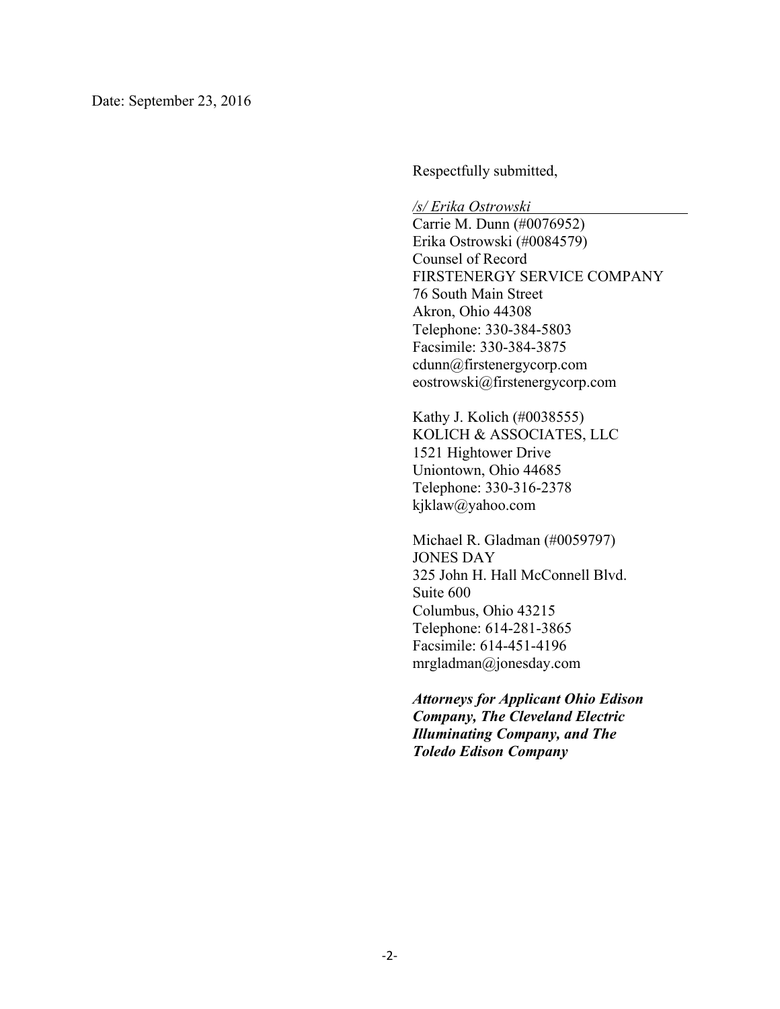Respectfully submitted,

*/s/ Erika Ostrowski* 

Carrie M. Dunn (#0076952) Erika Ostrowski (#0084579) Counsel of Record FIRSTENERGY SERVICE COMPANY 76 South Main Street Akron, Ohio 44308 Telephone: 330-384-5803 Facsimile: 330-384-3875 cdunn@firstenergycorp.com eostrowski@firstenergycorp.com

Kathy J. Kolich (#0038555) KOLICH & ASSOCIATES, LLC 1521 Hightower Drive Uniontown, Ohio 44685 Telephone: 330-316-2378 kjklaw@yahoo.com

Michael R. Gladman (#0059797) JONES DAY 325 John H. Hall McConnell Blvd. Suite 600 Columbus, Ohio 43215 Telephone: 614-281-3865 Facsimile: 614-451-4196 mrgladman@jonesday.com

*Attorneys for Applicant Ohio Edison Company, The Cleveland Electric Illuminating Company, and The Toledo Edison Company*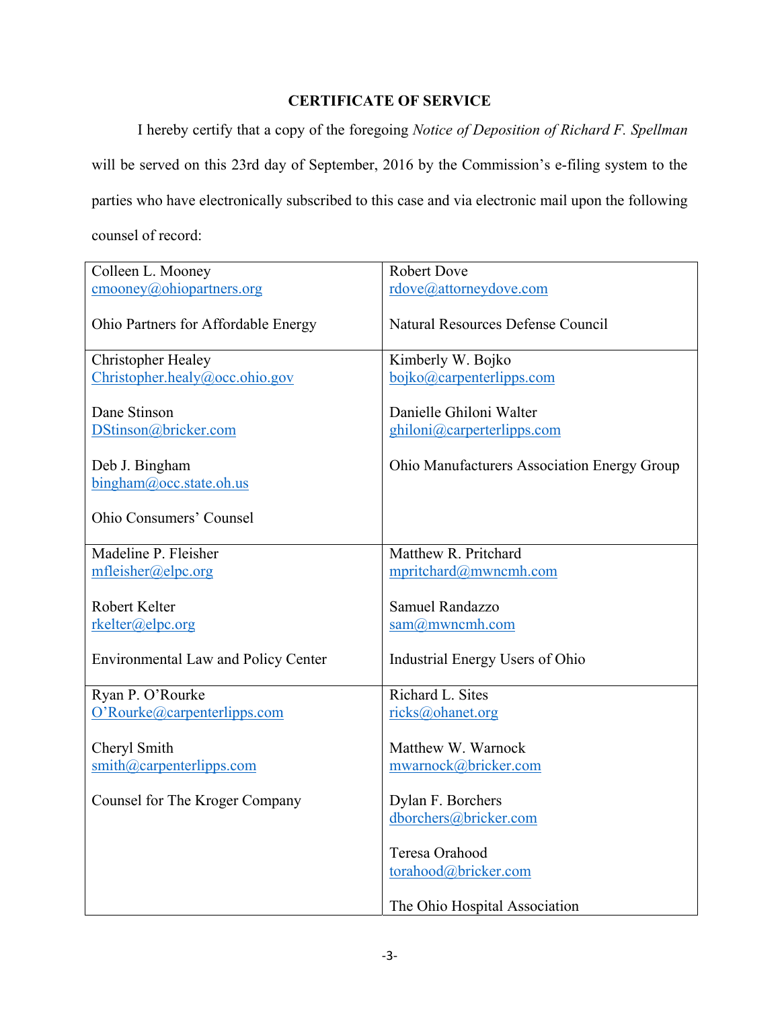## **CERTIFICATE OF SERVICE**

 I hereby certify that a copy of the foregoing *Notice of Deposition of Richard F. Spellman* will be served on this 23rd day of September, 2016 by the Commission's e-filing system to the parties who have electronically subscribed to this case and via electronic mail upon the following counsel of record:

| Colleen L. Mooney                          | <b>Robert Dove</b>                          |
|--------------------------------------------|---------------------------------------------|
| $\text{cmooney}(a)$ ohiopartners.org       | rdove@attorneydove.com                      |
|                                            |                                             |
| Ohio Partners for Affordable Energy        | <b>Natural Resources Defense Council</b>    |
|                                            |                                             |
| <b>Christopher Healey</b>                  | Kimberly W. Bojko                           |
| Christopher.healy@occ.ohio.gov             | bojko@carpenterlipps.com                    |
| Dane Stinson                               | Danielle Ghiloni Walter                     |
|                                            |                                             |
| DStinson@bricker.com                       | ghiloni@carperterlipps.com                  |
| Deb J. Bingham                             | Ohio Manufacturers Association Energy Group |
| bingham@occ.state.oh.us                    |                                             |
|                                            |                                             |
| <b>Ohio Consumers' Counsel</b>             |                                             |
|                                            |                                             |
| Madeline P. Fleisher                       | Matthew R. Pritchard                        |
| mfleisher@elpc.org                         | mpritchard@mwncmh.com                       |
|                                            |                                             |
| Robert Kelter                              | Samuel Randazzo                             |
| rkelter@elpc.org                           | $sam@m$ wncmh.com                           |
|                                            |                                             |
| <b>Environmental Law and Policy Center</b> | Industrial Energy Users of Ohio             |
|                                            |                                             |
| Ryan P. O'Rourke                           | Richard L. Sites                            |
| O'Rourke@carpenterlipps.com                | ricks@ohanet.org                            |
| Cheryl Smith                               | Matthew W. Warnock                          |
|                                            | mwarnock@bricker.com                        |
| $\sinith(\omega)$ carpenterlipps.com       |                                             |
| Counsel for The Kroger Company             | Dylan F. Borchers                           |
|                                            | dborchers@bricker.com                       |
|                                            |                                             |
|                                            | Teresa Orahood                              |
|                                            | torahood@bricker.com                        |
|                                            |                                             |
|                                            | The Ohio Hospital Association               |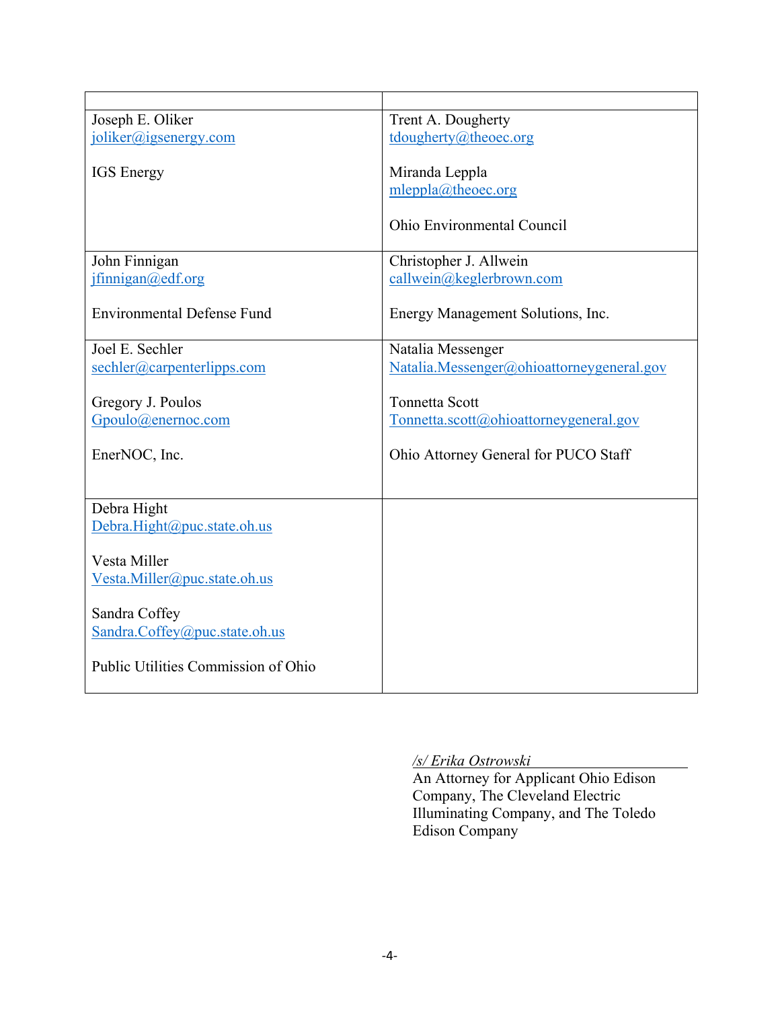| Joseph E. Oliker                    | Trent A. Dougherty                        |
|-------------------------------------|-------------------------------------------|
| joliker@igsenergy.com               | tdougherty@theoec.org                     |
|                                     |                                           |
| <b>IGS</b> Energy                   | Miranda Leppla                            |
|                                     | mleppla@theoec.org                        |
|                                     |                                           |
|                                     | <b>Ohio Environmental Council</b>         |
|                                     |                                           |
| John Finnigan                       | Christopher J. Allwein                    |
| jfinnigan@edf.org                   | callwein@keglerbrown.com                  |
|                                     |                                           |
| <b>Environmental Defense Fund</b>   | Energy Management Solutions, Inc.         |
|                                     |                                           |
| Joel E. Sechler                     | Natalia Messenger                         |
| sechler@carpenterlipps.com          | Natalia.Messenger@ohioattorneygeneral.gov |
|                                     |                                           |
| Gregory J. Poulos                   | <b>Tonnetta Scott</b>                     |
| Gpoulo@enernoc.com                  | Tometta.scott@ohioattorneygeneral.gov     |
|                                     |                                           |
| EnerNOC, Inc.                       | Ohio Attorney General for PUCO Staff      |
|                                     |                                           |
|                                     |                                           |
| Debra Hight                         |                                           |
| Debra.Hight@puc.state.oh.us         |                                           |
|                                     |                                           |
| Vesta Miller                        |                                           |
| Vesta.Miller@puc.state.oh.us        |                                           |
|                                     |                                           |
| Sandra Coffey                       |                                           |
| Sandra.Coffey@puc.state.oh.us       |                                           |
|                                     |                                           |
| Public Utilities Commission of Ohio |                                           |
|                                     |                                           |

## */s/ Erika Ostrowski*

An Attorney for Applicant Ohio Edison Company, The Cleveland Electric Illuminating Company, and The Toledo Edison Company